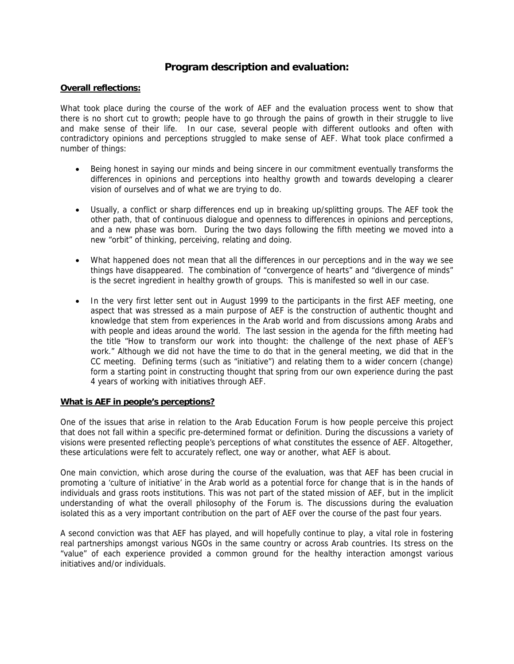# **Program description and evaluation:**

# **Overall reflections:**

What took place during the course of the work of AEF and the evaluation process went to show that there is no short cut to growth; people have to go through the pains of growth in their struggle to live and make sense of their life. In our case, several people with different outlooks and often with contradictory opinions and perceptions struggled to make sense of AEF. What took place confirmed a number of things:

- Being honest in saying our minds and being sincere in our commitment eventually transforms the differences in opinions and perceptions into healthy growth and towards developing a clearer vision of ourselves and of what we are trying to do.
- Usually, a conflict or sharp differences end up in breaking up/splitting groups. The AEF took the other path, that of continuous dialogue and openness to differences in opinions and perceptions, and a new phase was born. During the two days following the fifth meeting we moved into a new "orbit" of thinking, perceiving, relating and doing.
- What happened does not mean that all the differences in our perceptions and in the way we see things have disappeared. The combination of "convergence of hearts" and "divergence of minds" is the secret ingredient in healthy growth of groups. This is manifested so well in our case.
- In the very first letter sent out in August 1999 to the participants in the first AEF meeting, one aspect that was stressed as a main purpose of AEF is the construction of authentic thought and knowledge that stem from experiences in the Arab world and from discussions among Arabs and with people and ideas around the world. The last session in the agenda for the fifth meeting had the title "How to transform our work into thought: the challenge of the next phase of AEF's work." Although we did not have the time to do that in the general meeting, we did that in the CC meeting. Defining terms (such as "initiative") and relating them to a wider concern (change) form a starting point in constructing thought that spring from our own experience during the past 4 years of working with initiatives through AEF.

# **What is AEF in people's perceptions?**

One of the issues that arise in relation to the Arab Education Forum is how people perceive this project that does not fall within a specific pre-determined format or definition. During the discussions a variety of visions were presented reflecting people's perceptions of what constitutes the essence of AEF. Altogether, these articulations were felt to accurately reflect, one way or another, what AEF is about.

One main conviction, which arose during the course of the evaluation, was that AEF has been crucial in promoting a 'culture of initiative' in the Arab world as a potential force for change that is in the hands of individuals and grass roots institutions. This was not part of the stated mission of AEF, but in the implicit understanding of what the overall philosophy of the Forum is. The discussions during the evaluation isolated this as a very important contribution on the part of AEF over the course of the past four years.

A second conviction was that AEF has played, and will hopefully continue to play, a vital role in fostering real partnerships amongst various NGOs in the same country or across Arab countries. Its stress on the "value" of each experience provided a common ground for the healthy interaction amongst various initiatives and/or individuals.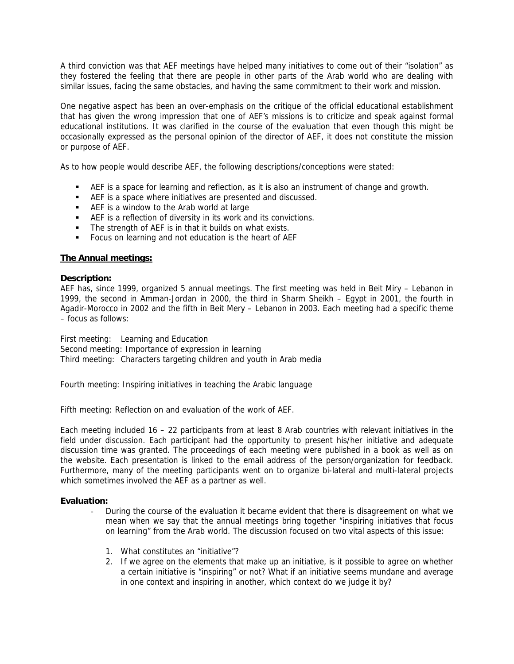A third conviction was that AEF meetings have helped many initiatives to come out of their "isolation" as they fostered the feeling that there are people in other parts of the Arab world who are dealing with similar issues, facing the same obstacles, and having the same commitment to their work and mission.

One negative aspect has been an over-emphasis on the critique of the official educational establishment that has given the wrong impression that one of AEF's missions is to criticize and speak against formal educational institutions. It was clarified in the course of the evaluation that even though this might be occasionally expressed as the personal opinion of the director of AEF, it does not constitute the mission or purpose of AEF.

As to how people would describe AEF, the following descriptions/conceptions were stated:

- AEF is a space for learning and reflection, as it is also an instrument of change and growth.
- **AEF** is a space where initiatives are presented and discussed.
- AEF is a window to the Arab world at large
- AEF is a reflection of diversity in its work and its convictions.
- The strength of AEF is in that it builds on what exists.
- **Focus on learning and not education is the heart of AEF**

# **The Annual meetings:**

#### **Description:**

AEF has, since 1999, organized 5 annual meetings. The first meeting was held in Beit Miry – Lebanon in 1999, the second in Amman-Jordan in 2000, the third in Sharm Sheikh – Egypt in 2001, the fourth in Agadir-Morocco in 2002 and the fifth in Beit Mery – Lebanon in 2003. Each meeting had a specific theme – focus as follows:

First meeting: Learning and Education Second meeting: Importance of expression in learning Third meeting: Characters targeting children and youth in Arab media

Fourth meeting: Inspiring initiatives in teaching the Arabic language

Fifth meeting: Reflection on and evaluation of the work of AEF.

Each meeting included 16 – 22 participants from at least 8 Arab countries with relevant initiatives in the field under discussion. Each participant had the opportunity to present his/her initiative and adequate discussion time was granted. The proceedings of each meeting were published in a book as well as on the website. Each presentation is linked to the email address of the person/organization for feedback. Furthermore, many of the meeting participants went on to organize bi-lateral and multi-lateral projects which sometimes involved the AEF as a partner as well.

#### **Evaluation:**

- During the course of the evaluation it became evident that there is disagreement on what we mean when we say that the annual meetings bring together "inspiring initiatives that focus on learning" from the Arab world. The discussion focused on two vital aspects of this issue:
	- 1. What constitutes an "initiative"?
	- 2. If we agree on the elements that make up an initiative, is it possible to agree on whether a certain initiative is "inspiring" or not? What if an initiative seems mundane and average in one context and inspiring in another, which context do we judge it by?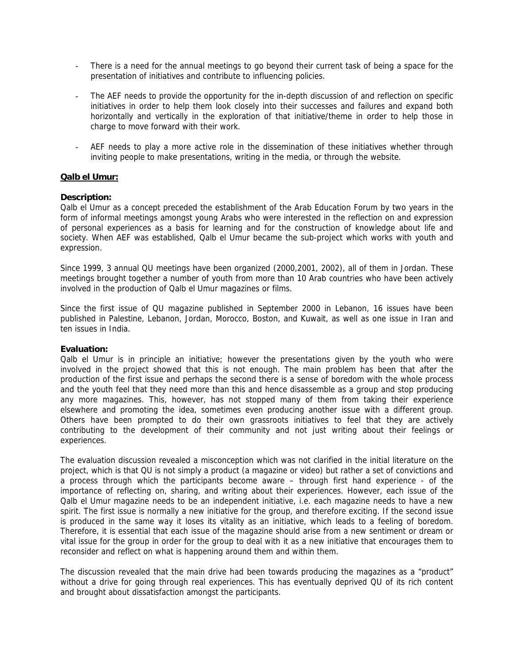- There is a need for the annual meetings to go beyond their current task of being a space for the presentation of initiatives and contribute to influencing policies.
- The AEF needs to provide the opportunity for the in-depth discussion of and reflection on specific initiatives in order to help them look closely into their successes and failures and expand both horizontally and vertically in the exploration of that initiative/theme in order to help those in charge to move forward with their work.
- AEF needs to play a more active role in the dissemination of these initiatives whether through inviting people to make presentations, writing in the media, or through the website.

#### **Qalb el Umur:**

#### **Description:**

Qalb el Umur as a concept preceded the establishment of the Arab Education Forum by two years in the form of informal meetings amongst young Arabs who were interested in the reflection on and expression of personal experiences as a basis for learning and for the construction of knowledge about life and society. When AEF was established, Qalb el Umur became the sub-project which works with youth and expression.

Since 1999, 3 annual QU meetings have been organized (2000,2001, 2002), all of them in Jordan. These meetings brought together a number of youth from more than 10 Arab countries who have been actively involved in the production of Qalb el Umur magazines or films.

Since the first issue of QU magazine published in September 2000 in Lebanon, 16 issues have been published in Palestine, Lebanon, Jordan, Morocco, Boston, and Kuwait, as well as one issue in Iran and ten issues in India.

#### **Evaluation:**

Qalb el Umur is in principle an initiative; however the presentations given by the youth who were involved in the project showed that this is not enough. The main problem has been that after the production of the first issue and perhaps the second there is a sense of boredom with the whole process and the youth feel that they need more than this and hence disassemble as a group and stop producing any more magazines. This, however, has not stopped many of them from taking their experience elsewhere and promoting the idea, sometimes even producing another issue with a different group. Others have been prompted to do their own grassroots initiatives to feel that they are actively contributing to the development of their community and not just writing about their feelings or experiences.

The evaluation discussion revealed a misconception which was not clarified in the initial literature on the project, which is that QU is not simply a product (a magazine or video) but rather a set of convictions and a process through which the participants become aware – through first hand experience - of the importance of reflecting on, sharing, and writing about their experiences. However, each issue of the Qalb el Umur magazine needs to be an independent initiative, i.e. each magazine needs to have a new spirit. The first issue is normally a new initiative for the group, and therefore exciting. If the second issue is produced in the same way it loses its vitality as an initiative, which leads to a feeling of boredom. Therefore, it is essential that each issue of the magazine should arise from a new sentiment or dream or vital issue for the group in order for the group to deal with it as a new initiative that encourages them to reconsider and reflect on what is happening around them and within them.

The discussion revealed that the main drive had been towards producing the magazines as a "product" without a drive for going through real experiences. This has eventually deprived QU of its rich content and brought about dissatisfaction amongst the participants.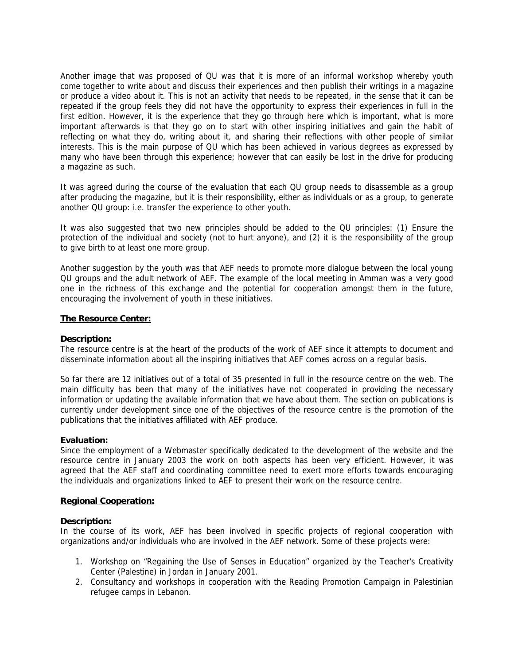Another image that was proposed of QU was that it is more of an informal workshop whereby youth come together to write about and discuss their experiences and then publish their writings in a magazine or produce a video about it. This is not an activity that needs to be repeated, in the sense that it can be repeated if the group feels they did not have the opportunity to express their experiences in full in the first edition. However, it is the experience that they go through here which is important, what is more important afterwards is that they go on to start with other inspiring initiatives and gain the habit of reflecting on what they do, writing about it, and sharing their reflections with other people of similar interests. This is the main purpose of QU which has been achieved in various degrees as expressed by many who have been through this experience; however that can easily be lost in the drive for producing a magazine as such.

It was agreed during the course of the evaluation that each QU group needs to disassemble as a group after producing the magazine, but it is their responsibility, either as individuals or as a group, to generate another QU group: i.e. transfer the experience to other youth.

It was also suggested that two new principles should be added to the QU principles: (1) Ensure the protection of the individual and society (not to hurt anyone), and (2) it is the responsibility of the group to give birth to at least one more group.

Another suggestion by the youth was that AEF needs to promote more dialogue between the local young QU groups and the adult network of AEF. The example of the local meeting in Amman was a very good one in the richness of this exchange and the potential for cooperation amongst them in the future, encouraging the involvement of youth in these initiatives.

#### **The Resource Center:**

#### **Description:**

The resource centre is at the heart of the products of the work of AEF since it attempts to document and disseminate information about all the inspiring initiatives that AEF comes across on a regular basis.

So far there are 12 initiatives out of a total of 35 presented in full in the resource centre on the web. The main difficulty has been that many of the initiatives have not cooperated in providing the necessary information or updating the available information that we have about them. The section on publications is currently under development since one of the objectives of the resource centre is the promotion of the publications that the initiatives affiliated with AEF produce.

#### **Evaluation:**

Since the employment of a Webmaster specifically dedicated to the development of the website and the resource centre in January 2003 the work on both aspects has been very efficient. However, it was agreed that the AEF staff and coordinating committee need to exert more efforts towards encouraging the individuals and organizations linked to AEF to present their work on the resource centre.

# **Regional Cooperation:**

#### **Description:**

In the course of its work, AEF has been involved in specific projects of regional cooperation with organizations and/or individuals who are involved in the AEF network. Some of these projects were:

- 1. Workshop on "Regaining the Use of Senses in Education" organized by the Teacher's Creativity Center (Palestine) in Jordan in January 2001.
- 2. Consultancy and workshops in cooperation with the Reading Promotion Campaign in Palestinian refugee camps in Lebanon.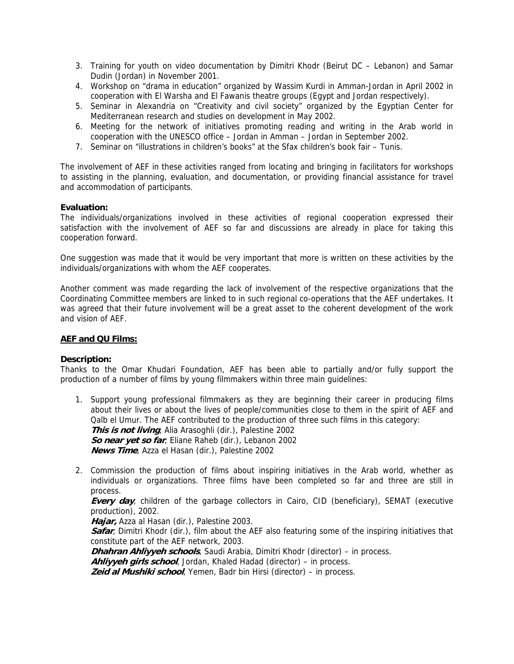- 3. Training for youth on video documentation by Dimitri Khodr (Beirut DC Lebanon) and Samar Dudin (Jordan) in November 2001.
- 4. Workshop on "drama in education" organized by Wassim Kurdi in Amman-Jordan in April 2002 in cooperation with El Warsha and El Fawanis theatre groups (Egypt and Jordan respectively).
- 5. Seminar in Alexandria on "Creativity and civil society" organized by the Egyptian Center for Mediterranean research and studies on development in May 2002.
- 6. Meeting for the network of initiatives promoting reading and writing in the Arab world in cooperation with the UNESCO office – Jordan in Amman – Jordan in September 2002.
- 7. Seminar on "illustrations in children's books" at the Sfax children's book fair Tunis.

The involvement of AEF in these activities ranged from locating and bringing in facilitators for workshops to assisting in the planning, evaluation, and documentation, or providing financial assistance for travel and accommodation of participants.

# **Evaluation:**

The individuals/organizations involved in these activities of regional cooperation expressed their satisfaction with the involvement of AEF so far and discussions are already in place for taking this cooperation forward.

One suggestion was made that it would be very important that more is written on these activities by the individuals/organizations with whom the AEF cooperates.

Another comment was made regarding the lack of involvement of the respective organizations that the Coordinating Committee members are linked to in such regional co-operations that the AEF undertakes. It was agreed that their future involvement will be a great asset to the coherent development of the work and vision of AEF.

#### **AEF and QU Films:**

#### **Description:**

Thanks to the Omar Khudari Foundation, AEF has been able to partially and/or fully support the production of a number of films by young filmmakers within three main guidelines:

- 1. Support young professional filmmakers as they are beginning their career in producing films about their lives or about the lives of people/communities close to them in the spirit of AEF and Qalb el Umur. The AEF contributed to the production of three such films in this category: **This is not living**, Alia Arasoghli (dir.), Palestine 2002 **So near yet so far**, Eliane Raheb (dir.), Lebanon 2002 **News Time**, Azza el Hasan (dir.), Palestine 2002
- 2. Commission the production of films about inspiring initiatives in the Arab world, whether as individuals or organizations. Three films have been completed so far and three are still in process.

**Every day**, children of the garbage collectors in Cairo, CID (beneficiary), SEMAT (executive production), 2002.

**Hajar,** Azza al Hasan (dir.), Palestine 2003.

**Safar**, Dimitri Khodr (dir.), film about the AEF also featuring some of the inspiring initiatives that constitute part of the AEF network, 2003.

**Dhahran Ahliyyeh schools**, Saudi Arabia, Dimitri Khodr (director) – in process.

**Ahliyyeh girls school**, Jordan, Khaled Hadad (director) – in process.

**Zeid al Mushiki school**, Yemen, Badr bin Hirsi (director) – in process.